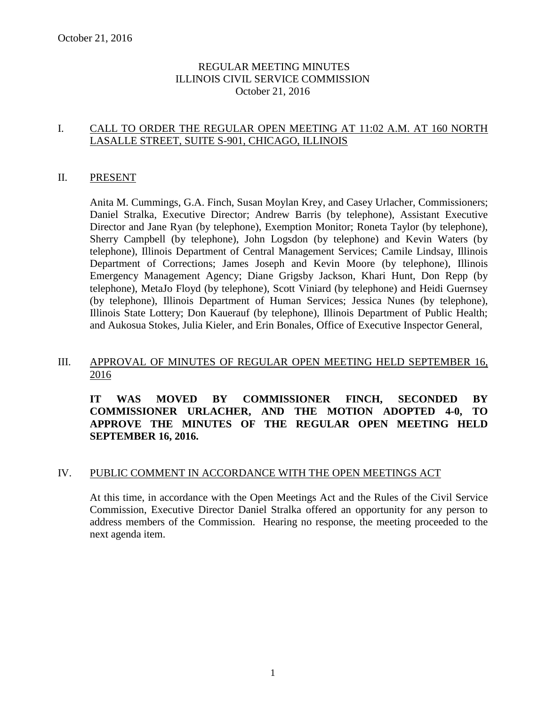### REGULAR MEETING MINUTES ILLINOIS CIVIL SERVICE COMMISSION October 21, 2016

### I. CALL TO ORDER THE REGULAR OPEN MEETING AT 11:02 A.M. AT 160 NORTH LASALLE STREET, SUITE S-901, CHICAGO, ILLINOIS

#### II. PRESENT

Anita M. Cummings, G.A. Finch, Susan Moylan Krey, and Casey Urlacher, Commissioners; Daniel Stralka, Executive Director; Andrew Barris (by telephone), Assistant Executive Director and Jane Ryan (by telephone), Exemption Monitor; Roneta Taylor (by telephone), Sherry Campbell (by telephone), John Logsdon (by telephone) and Kevin Waters (by telephone), Illinois Department of Central Management Services; Camile Lindsay, Illinois Department of Corrections; James Joseph and Kevin Moore (by telephone), Illinois Emergency Management Agency; Diane Grigsby Jackson, Khari Hunt, Don Repp (by telephone), MetaJo Floyd (by telephone), Scott Viniard (by telephone) and Heidi Guernsey (by telephone), Illinois Department of Human Services; Jessica Nunes (by telephone), Illinois State Lottery; Don Kauerauf (by telephone), Illinois Department of Public Health; and Aukosua Stokes, Julia Kieler, and Erin Bonales, Office of Executive Inspector General,

### III. APPROVAL OF MINUTES OF REGULAR OPEN MEETING HELD SEPTEMBER 16, 2016

**IT WAS MOVED BY COMMISSIONER FINCH, SECONDED BY COMMISSIONER URLACHER, AND THE MOTION ADOPTED 4-0, TO APPROVE THE MINUTES OF THE REGULAR OPEN MEETING HELD SEPTEMBER 16, 2016.**

#### IV. PUBLIC COMMENT IN ACCORDANCE WITH THE OPEN MEETINGS ACT

At this time, in accordance with the Open Meetings Act and the Rules of the Civil Service Commission, Executive Director Daniel Stralka offered an opportunity for any person to address members of the Commission. Hearing no response, the meeting proceeded to the next agenda item.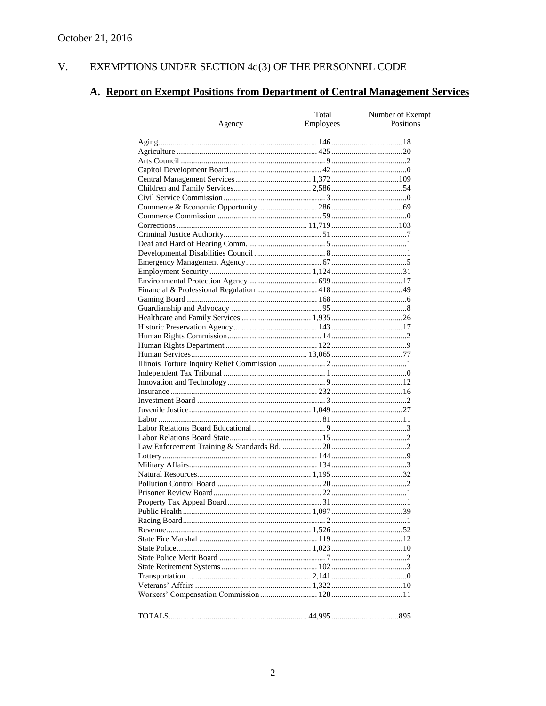#### $V<sub>r</sub>$ EXEMPTIONS UNDER SECTION 4d(3) OF THE PERSONNEL CODE

# A. Report on Exempt Positions from Department of Central Management Services

| Agency | Total<br><b>Employees</b> | Number of Exempt<br>Positions |
|--------|---------------------------|-------------------------------|
|        |                           |                               |
|        |                           |                               |
|        |                           |                               |
|        |                           |                               |
|        |                           |                               |
|        |                           |                               |
|        |                           |                               |
|        |                           |                               |
|        |                           |                               |
|        |                           |                               |
|        |                           |                               |
|        |                           |                               |
|        |                           |                               |
|        |                           |                               |
|        |                           |                               |
|        |                           |                               |
|        |                           |                               |
|        |                           |                               |
|        |                           |                               |
|        |                           |                               |
|        |                           |                               |
|        |                           |                               |
|        |                           |                               |
|        |                           |                               |
|        |                           |                               |
|        |                           |                               |
|        |                           |                               |
|        |                           |                               |
|        |                           |                               |
|        |                           |                               |
|        |                           |                               |
|        |                           |                               |
|        |                           |                               |
|        |                           |                               |
|        |                           |                               |
|        |                           |                               |
|        |                           |                               |
|        |                           |                               |
|        |                           |                               |
|        |                           |                               |
|        |                           |                               |
|        |                           |                               |
|        |                           |                               |
|        |                           |                               |
|        |                           |                               |
|        |                           |                               |
|        |                           |                               |
|        |                           |                               |
|        |                           |                               |
|        |                           |                               |
|        |                           |                               |
|        |                           |                               |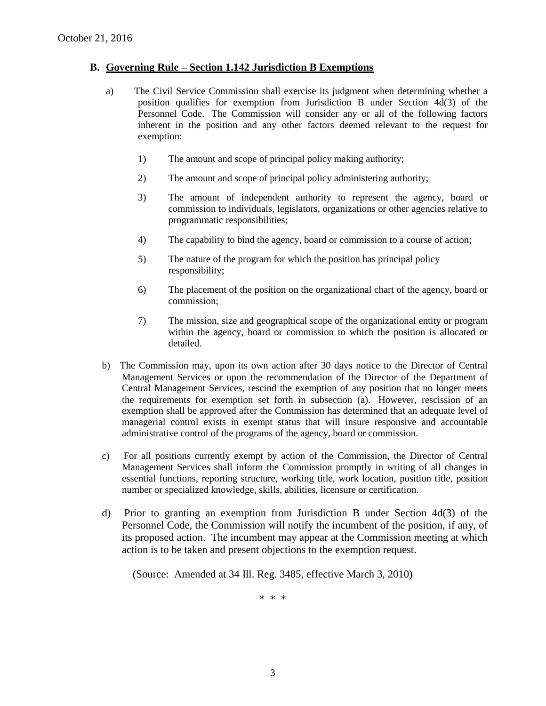#### **B. Governing Rule – Section 1.142 Jurisdiction B Exemptions**

- a) The Civil Service Commission shall exercise its judgment when determining whether a position qualifies for exemption from Jurisdiction B under Section 4d(3) of the Personnel Code. The Commission will consider any or all of the following factors inherent in the position and any other factors deemed relevant to the request for exemption:
	- 1) The amount and scope of principal policy making authority;
	- 2) The amount and scope of principal policy administering authority;
	- 3) The amount of independent authority to represent the agency, board or commission to individuals, legislators, organizations or other agencies relative to programmatic responsibilities;
	- 4) The capability to bind the agency, board or commission to a course of action;
	- 5) The nature of the program for which the position has principal policy responsibility;
	- 6) The placement of the position on the organizational chart of the agency, board or commission;
	- 7) The mission, size and geographical scope of the organizational entity or program within the agency, board or commission to which the position is allocated or detailed.
- b) The Commission may, upon its own action after 30 days notice to the Director of Central Management Services or upon the recommendation of the Director of the Department of Central Management Services, rescind the exemption of any position that no longer meets the requirements for exemption set forth in subsection (a). However, rescission of an exemption shall be approved after the Commission has determined that an adequate level of managerial control exists in exempt status that will insure responsive and accountable administrative control of the programs of the agency, board or commission.
- c) For all positions currently exempt by action of the Commission, the Director of Central Management Services shall inform the Commission promptly in writing of all changes in essential functions, reporting structure, working title, work location, position title, position number or specialized knowledge, skills, abilities, licensure or certification.
- d) Prior to granting an exemption from Jurisdiction B under Section 4d(3) of the Personnel Code, the Commission will notify the incumbent of the position, if any, of its proposed action. The incumbent may appear at the Commission meeting at which action is to be taken and present objections to the exemption request.

(Source: Amended at 34 Ill. Reg. 3485, effective March 3, 2010)

\* \* \*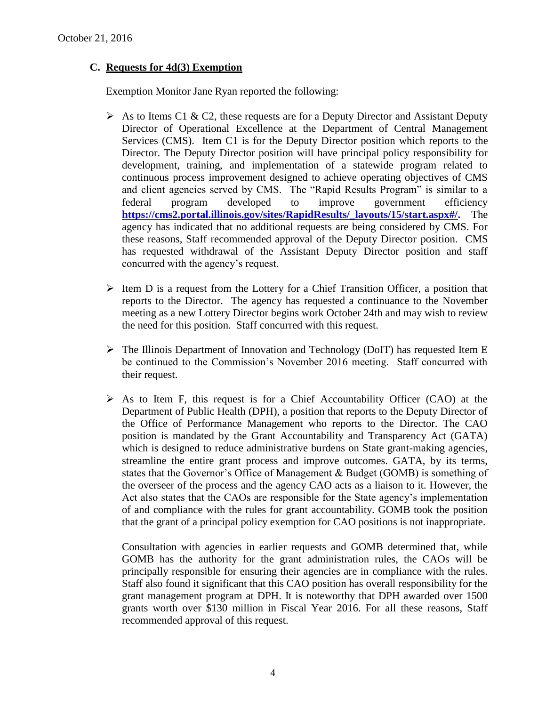### **C. Requests for 4d(3) Exemption**

Exemption Monitor Jane Ryan reported the following:

- As to Items C1 & C2, these requests are for a Deputy Director and Assistant Deputy Director of Operational Excellence at the Department of Central Management Services (CMS). Item C1 is for the Deputy Director position which reports to the Director. The Deputy Director position will have principal policy responsibility for development, training, and implementation of a statewide program related to continuous process improvement designed to achieve operating objectives of CMS and client agencies served by CMS. The "Rapid Results Program" is similar to a federal program developed to improve government efficiency **[https://cms2.portal.illinois.gov/sites/RapidResults/\\_layouts/15/start.aspx#/.](https://cms2.portal.illinois.gov/sites/RapidResults/_layouts/15/start.aspx#/)** The agency has indicated that no additional requests are being considered by CMS. For these reasons, Staff recommended approval of the Deputy Director position. CMS has requested withdrawal of the Assistant Deputy Director position and staff concurred with the agency's request.
- $\triangleright$  Item D is a request from the Lottery for a Chief Transition Officer, a position that reports to the Director. The agency has requested a continuance to the November meeting as a new Lottery Director begins work October 24th and may wish to review the need for this position. Staff concurred with this request.
- $\triangleright$  The Illinois Department of Innovation and Technology (DoIT) has requested Item E be continued to the Commission's November 2016 meeting. Staff concurred with their request.
- $\triangleright$  As to Item F, this request is for a Chief Accountability Officer (CAO) at the Department of Public Health (DPH), a position that reports to the Deputy Director of the Office of Performance Management who reports to the Director. The CAO position is mandated by the Grant Accountability and Transparency Act (GATA) which is designed to reduce administrative burdens on State grant-making agencies, streamline the entire grant process and improve outcomes. GATA, by its terms, states that the Governor's Office of Management & Budget (GOMB) is something of the overseer of the process and the agency CAO acts as a liaison to it. However, the Act also states that the CAOs are responsible for the State agency's implementation of and compliance with the rules for grant accountability. GOMB took the position that the grant of a principal policy exemption for CAO positions is not inappropriate.

Consultation with agencies in earlier requests and GOMB determined that, while GOMB has the authority for the grant administration rules, the CAOs will be principally responsible for ensuring their agencies are in compliance with the rules. Staff also found it significant that this CAO position has overall responsibility for the grant management program at DPH. It is noteworthy that DPH awarded over 1500 grants worth over \$130 million in Fiscal Year 2016. For all these reasons, Staff recommended approval of this request.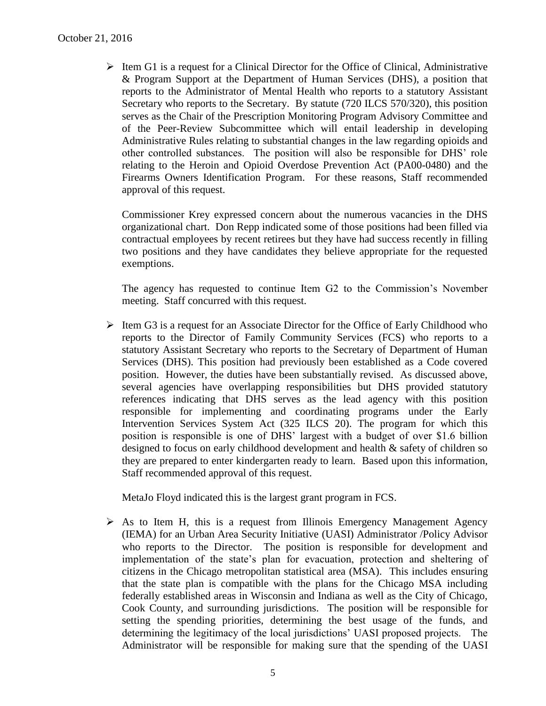$\triangleright$  Item G1 is a request for a Clinical Director for the Office of Clinical, Administrative & Program Support at the Department of Human Services (DHS), a position that reports to the Administrator of Mental Health who reports to a statutory Assistant Secretary who reports to the Secretary. By statute (720 ILCS 570/320), this position serves as the Chair of the Prescription Monitoring Program Advisory Committee and of the Peer-Review Subcommittee which will entail leadership in developing Administrative Rules relating to substantial changes in the law regarding opioids and other controlled substances. The position will also be responsible for DHS' role relating to the Heroin and Opioid Overdose Prevention Act (PA00-0480) and the Firearms Owners Identification Program. For these reasons, Staff recommended approval of this request.

Commissioner Krey expressed concern about the numerous vacancies in the DHS organizational chart. Don Repp indicated some of those positions had been filled via contractual employees by recent retirees but they have had success recently in filling two positions and they have candidates they believe appropriate for the requested exemptions.

The agency has requested to continue Item G2 to the Commission's November meeting. Staff concurred with this request.

 $\triangleright$  Item G3 is a request for an Associate Director for the Office of Early Childhood who reports to the Director of Family Community Services (FCS) who reports to a statutory Assistant Secretary who reports to the Secretary of Department of Human Services (DHS). This position had previously been established as a Code covered position. However, the duties have been substantially revised. As discussed above, several agencies have overlapping responsibilities but DHS provided statutory references indicating that DHS serves as the lead agency with this position responsible for implementing and coordinating programs under the Early Intervention Services System Act (325 ILCS 20). The program for which this position is responsible is one of DHS' largest with a budget of over \$1.6 billion designed to focus on early childhood development and health & safety of children so they are prepared to enter kindergarten ready to learn. Based upon this information, Staff recommended approval of this request.

MetaJo Floyd indicated this is the largest grant program in FCS.

 $\triangleright$  As to Item H, this is a request from Illinois Emergency Management Agency (IEMA) for an Urban Area Security Initiative (UASI) Administrator /Policy Advisor who reports to the Director. The position is responsible for development and implementation of the state's plan for evacuation, protection and sheltering of citizens in the Chicago metropolitan statistical area (MSA). This includes ensuring that the state plan is compatible with the plans for the Chicago MSA including federally established areas in Wisconsin and Indiana as well as the City of Chicago, Cook County, and surrounding jurisdictions. The position will be responsible for setting the spending priorities, determining the best usage of the funds, and determining the legitimacy of the local jurisdictions' UASI proposed projects. The Administrator will be responsible for making sure that the spending of the UASI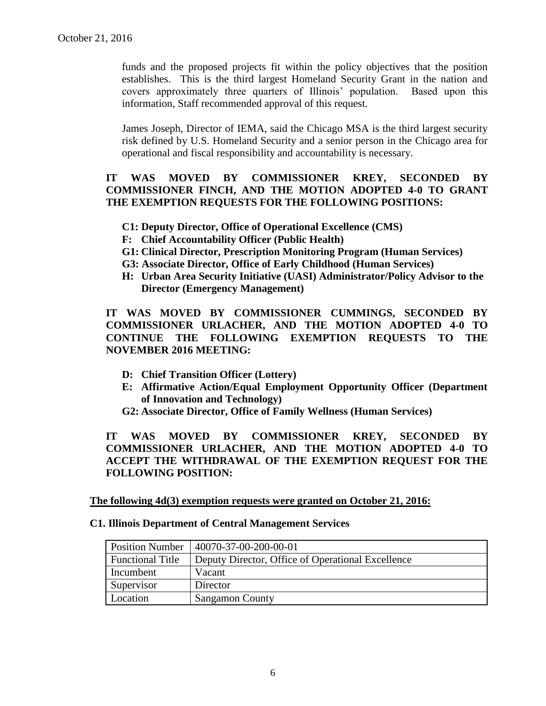funds and the proposed projects fit within the policy objectives that the position establishes. This is the third largest Homeland Security Grant in the nation and covers approximately three quarters of Illinois' population. Based upon this information, Staff recommended approval of this request.

James Joseph, Director of IEMA, said the Chicago MSA is the third largest security risk defined by U.S. Homeland Security and a senior person in the Chicago area for operational and fiscal responsibility and accountability is necessary.

#### **IT WAS MOVED BY COMMISSIONER KREY, SECONDED BY COMMISSIONER FINCH, AND THE MOTION ADOPTED 4-0 TO GRANT THE EXEMPTION REQUESTS FOR THE FOLLOWING POSITIONS:**

- **C1: Deputy Director, Office of Operational Excellence (CMS)**
- **F: Chief Accountability Officer (Public Health)**
- **G1: Clinical Director, Prescription Monitoring Program (Human Services)**
- **G3: Associate Director, Office of Early Childhood (Human Services)**
- **H: Urban Area Security Initiative (UASI) Administrator/Policy Advisor to the Director (Emergency Management)**

**IT WAS MOVED BY COMMISSIONER CUMMINGS, SECONDED BY COMMISSIONER URLACHER, AND THE MOTION ADOPTED 4-0 TO CONTINUE THE FOLLOWING EXEMPTION REQUESTS TO THE NOVEMBER 2016 MEETING:**

- **D: Chief Transition Officer (Lottery)**
- **E: Affirmative Action/Equal Employment Opportunity Officer (Department of Innovation and Technology)**

**G2: Associate Director, Office of Family Wellness (Human Services)**

**IT WAS MOVED BY COMMISSIONER KREY, SECONDED BY COMMISSIONER URLACHER, AND THE MOTION ADOPTED 4-0 TO ACCEPT THE WITHDRAWAL OF THE EXEMPTION REQUEST FOR THE FOLLOWING POSITION:**

**The following 4d(3) exemption requests were granted on October 21, 2016:**

#### **C1. Illinois Department of Central Management Services**

| <b>Position Number</b>  | 40070-37-00-200-00-01                             |
|-------------------------|---------------------------------------------------|
| <b>Functional Title</b> | Deputy Director, Office of Operational Excellence |
| Incumbent               | Vacant                                            |
| Supervisor              | Director                                          |
| Location                | <b>Sangamon County</b>                            |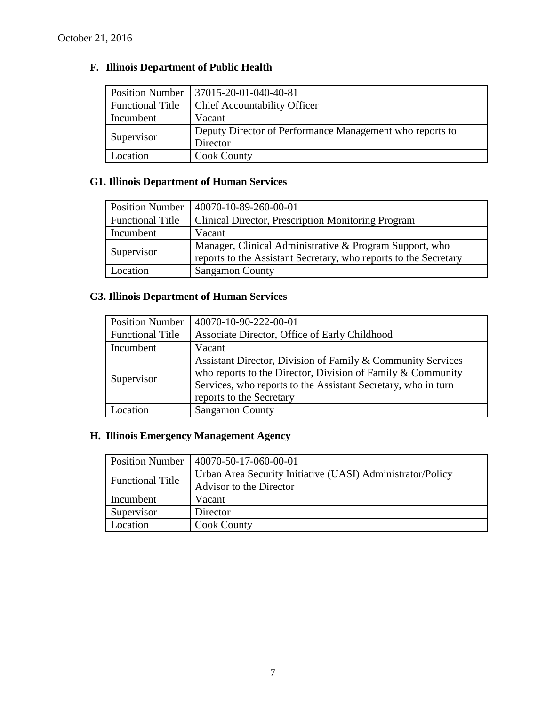# **F. Illinois Department of Public Health**

| <b>Position Number</b>  | 37015-20-01-040-40-81                                    |
|-------------------------|----------------------------------------------------------|
| <b>Functional Title</b> | <b>Chief Accountability Officer</b>                      |
| Incumbent               | Vacant                                                   |
| Supervisor              | Deputy Director of Performance Management who reports to |
|                         | Director                                                 |
| Location                | <b>Cook County</b>                                       |

# **G1. Illinois Department of Human Services**

| <b>Position Number</b>  | 40070-10-89-260-00-01                                            |
|-------------------------|------------------------------------------------------------------|
| <b>Functional Title</b> | Clinical Director, Prescription Monitoring Program               |
| Incumbent               | Vacant                                                           |
| Supervisor              | Manager, Clinical Administrative & Program Support, who          |
|                         | reports to the Assistant Secretary, who reports to the Secretary |
| Location                | <b>Sangamon County</b>                                           |

# **G3. Illinois Department of Human Services**

| <b>Position Number</b>  | 40070-10-90-222-00-01                                                                                                                                                                                                   |
|-------------------------|-------------------------------------------------------------------------------------------------------------------------------------------------------------------------------------------------------------------------|
| <b>Functional Title</b> | Associate Director, Office of Early Childhood                                                                                                                                                                           |
| Incumbent               | Vacant                                                                                                                                                                                                                  |
| Supervisor              | Assistant Director, Division of Family & Community Services<br>who reports to the Director, Division of Family & Community<br>Services, who reports to the Assistant Secretary, who in turn<br>reports to the Secretary |
| .ocation                | <b>Sangamon County</b>                                                                                                                                                                                                  |

# **H. Illinois Emergency Management Agency**

| <b>Position Number</b>  | 40070-50-17-060-00-01                                      |
|-------------------------|------------------------------------------------------------|
| <b>Functional Title</b> | Urban Area Security Initiative (UASI) Administrator/Policy |
|                         | Advisor to the Director                                    |
| Incumbent               | Vacant                                                     |
| Supervisor              | Director                                                   |
| Location                | <b>Cook County</b>                                         |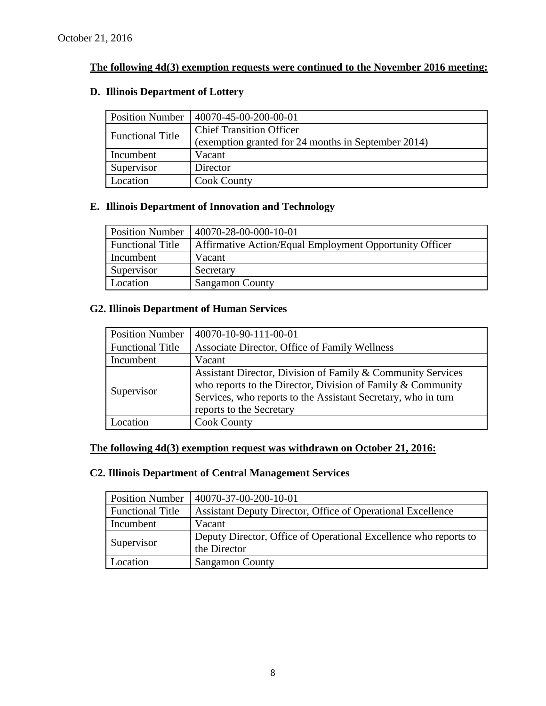## **The following 4d(3) exemption requests were continued to the November 2016 meeting:**

### **D. Illinois Department of Lottery**

| <b>Position Number</b>  | 40070-45-00-200-00-01                               |
|-------------------------|-----------------------------------------------------|
| <b>Functional Title</b> | <b>Chief Transition Officer</b>                     |
|                         | (exemption granted for 24 months in September 2014) |
| Incumbent               | Vacant                                              |
| Supervisor              | Director                                            |
| Location                | <b>Cook County</b>                                  |

### **E. Illinois Department of Innovation and Technology**

| Position Number         | 40070-28-00-000-10-01                                   |
|-------------------------|---------------------------------------------------------|
| <b>Functional Title</b> | Affirmative Action/Equal Employment Opportunity Officer |
| Incumbent               | Vacant                                                  |
| Supervisor              | Secretary                                               |
| Location                | <b>Sangamon County</b>                                  |

### **G2. Illinois Department of Human Services**

| <b>Position Number</b>  | 40070-10-90-111-00-01                                                                                                                                                                                                   |
|-------------------------|-------------------------------------------------------------------------------------------------------------------------------------------------------------------------------------------------------------------------|
| <b>Functional Title</b> | Associate Director, Office of Family Wellness                                                                                                                                                                           |
| Incumbent               | Vacant                                                                                                                                                                                                                  |
| Supervisor              | Assistant Director, Division of Family & Community Services<br>who reports to the Director, Division of Family & Community<br>Services, who reports to the Assistant Secretary, who in turn<br>reports to the Secretary |
| ocation                 | <b>Cook County</b>                                                                                                                                                                                                      |

## **The following 4d(3) exemption request was withdrawn on October 21, 2016:**

# **C2. Illinois Department of Central Management Services**

| <b>Position Number</b>  | 40070-37-00-200-10-01                                                            |
|-------------------------|----------------------------------------------------------------------------------|
| <b>Functional Title</b> | Assistant Deputy Director, Office of Operational Excellence                      |
| Incumbent               | Vacant                                                                           |
| Supervisor              | Deputy Director, Office of Operational Excellence who reports to<br>the Director |
| Location                | <b>Sangamon County</b>                                                           |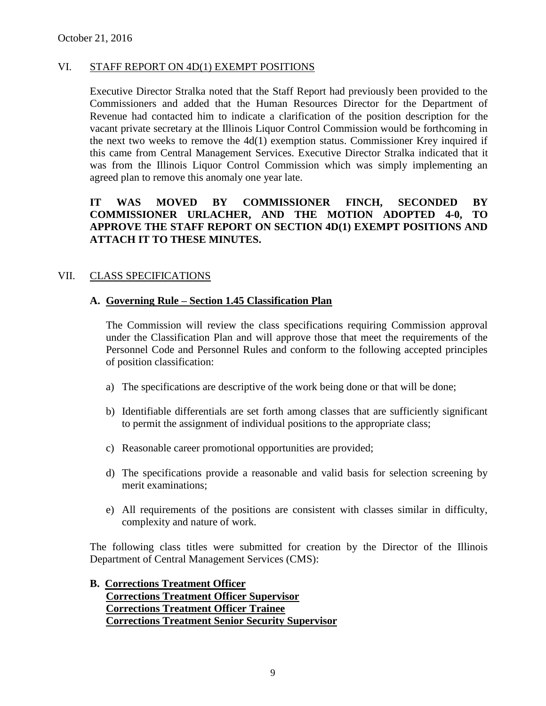#### VI. STAFF REPORT ON 4D(1) EXEMPT POSITIONS

Executive Director Stralka noted that the Staff Report had previously been provided to the Commissioners and added that the Human Resources Director for the Department of Revenue had contacted him to indicate a clarification of the position description for the vacant private secretary at the Illinois Liquor Control Commission would be forthcoming in the next two weeks to remove the 4d(1) exemption status. Commissioner Krey inquired if this came from Central Management Services. Executive Director Stralka indicated that it was from the Illinois Liquor Control Commission which was simply implementing an agreed plan to remove this anomaly one year late.

### **IT WAS MOVED BY COMMISSIONER FINCH, SECONDED BY COMMISSIONER URLACHER, AND THE MOTION ADOPTED 4-0, TO APPROVE THE STAFF REPORT ON SECTION 4D(1) EXEMPT POSITIONS AND ATTACH IT TO THESE MINUTES.**

#### VII. CLASS SPECIFICATIONS

#### **A. Governing Rule – Section 1.45 Classification Plan**

The Commission will review the class specifications requiring Commission approval under the Classification Plan and will approve those that meet the requirements of the Personnel Code and Personnel Rules and conform to the following accepted principles of position classification:

- a) The specifications are descriptive of the work being done or that will be done;
- b) Identifiable differentials are set forth among classes that are sufficiently significant to permit the assignment of individual positions to the appropriate class;
- c) Reasonable career promotional opportunities are provided;
- d) The specifications provide a reasonable and valid basis for selection screening by merit examinations;
- e) All requirements of the positions are consistent with classes similar in difficulty, complexity and nature of work.

The following class titles were submitted for creation by the Director of the Illinois Department of Central Management Services (CMS):

#### **B. Corrections Treatment Officer Corrections Treatment Officer Supervisor Corrections Treatment Officer Trainee Corrections Treatment Senior Security Supervisor**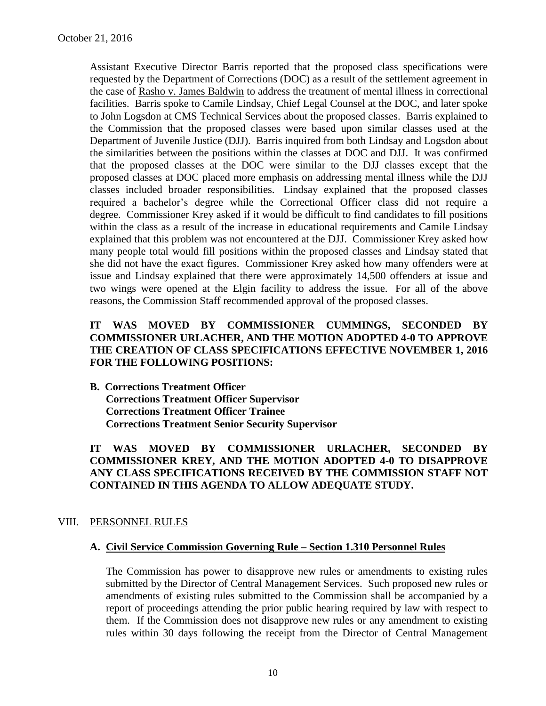Assistant Executive Director Barris reported that the proposed class specifications were requested by the Department of Corrections (DOC) as a result of the settlement agreement in the case of Rasho v. James Baldwin to address the treatment of mental illness in correctional facilities. Barris spoke to Camile Lindsay, Chief Legal Counsel at the DOC, and later spoke to John Logsdon at CMS Technical Services about the proposed classes. Barris explained to the Commission that the proposed classes were based upon similar classes used at the Department of Juvenile Justice (DJJ). Barris inquired from both Lindsay and Logsdon about the similarities between the positions within the classes at DOC and DJJ. It was confirmed that the proposed classes at the DOC were similar to the DJJ classes except that the proposed classes at DOC placed more emphasis on addressing mental illness while the DJJ classes included broader responsibilities. Lindsay explained that the proposed classes required a bachelor's degree while the Correctional Officer class did not require a degree. Commissioner Krey asked if it would be difficult to find candidates to fill positions within the class as a result of the increase in educational requirements and Camile Lindsay explained that this problem was not encountered at the DJJ. Commissioner Krey asked how many people total would fill positions within the proposed classes and Lindsay stated that she did not have the exact figures. Commissioner Krey asked how many offenders were at issue and Lindsay explained that there were approximately 14,500 offenders at issue and two wings were opened at the Elgin facility to address the issue. For all of the above reasons, the Commission Staff recommended approval of the proposed classes.

#### **IT WAS MOVED BY COMMISSIONER CUMMINGS, SECONDED BY COMMISSIONER URLACHER, AND THE MOTION ADOPTED 4-0 TO APPROVE THE CREATION OF CLASS SPECIFICATIONS EFFECTIVE NOVEMBER 1, 2016 FOR THE FOLLOWING POSITIONS:**

**B. Corrections Treatment Officer Corrections Treatment Officer Supervisor Corrections Treatment Officer Trainee Corrections Treatment Senior Security Supervisor**

**IT WAS MOVED BY COMMISSIONER URLACHER, SECONDED BY COMMISSIONER KREY, AND THE MOTION ADOPTED 4-0 TO DISAPPROVE ANY CLASS SPECIFICATIONS RECEIVED BY THE COMMISSION STAFF NOT CONTAINED IN THIS AGENDA TO ALLOW ADEQUATE STUDY.** 

#### VIII. PERSONNEL RULES

#### **A. Civil Service Commission Governing Rule – Section 1.310 Personnel Rules**

The Commission has power to disapprove new rules or amendments to existing rules submitted by the Director of Central Management Services. Such proposed new rules or amendments of existing rules submitted to the Commission shall be accompanied by a report of proceedings attending the prior public hearing required by law with respect to them. If the Commission does not disapprove new rules or any amendment to existing rules within 30 days following the receipt from the Director of Central Management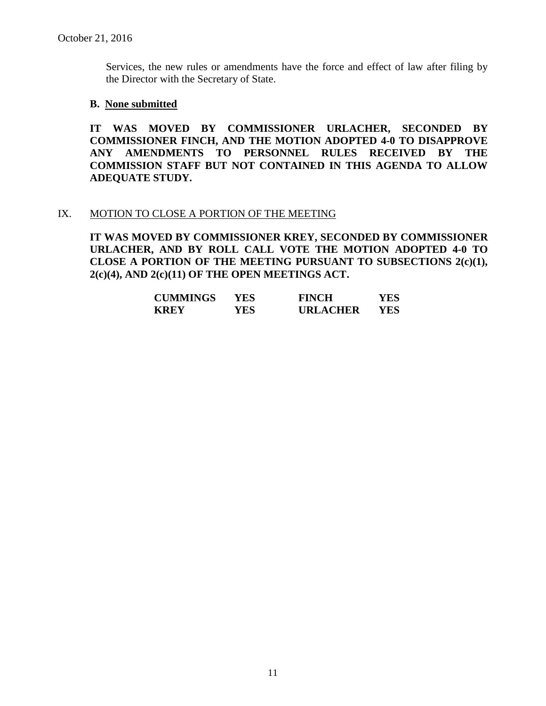Services, the new rules or amendments have the force and effect of law after filing by the Director with the Secretary of State.

#### **B. None submitted**

**IT WAS MOVED BY COMMISSIONER URLACHER, SECONDED BY COMMISSIONER FINCH, AND THE MOTION ADOPTED 4-0 TO DISAPPROVE ANY AMENDMENTS TO PERSONNEL RULES RECEIVED BY THE COMMISSION STAFF BUT NOT CONTAINED IN THIS AGENDA TO ALLOW ADEQUATE STUDY.** 

#### IX. MOTION TO CLOSE A PORTION OF THE MEETING

**IT WAS MOVED BY COMMISSIONER KREY, SECONDED BY COMMISSIONER URLACHER, AND BY ROLL CALL VOTE THE MOTION ADOPTED 4-0 TO CLOSE A PORTION OF THE MEETING PURSUANT TO SUBSECTIONS 2(c)(1), 2(c)(4), AND 2(c)(11) OF THE OPEN MEETINGS ACT.**

| <b>CUMMINGS</b> | YES. | <b>FINCH</b>    | YES |
|-----------------|------|-----------------|-----|
| <b>KREY</b>     | YES  | <b>URLACHER</b> | YES |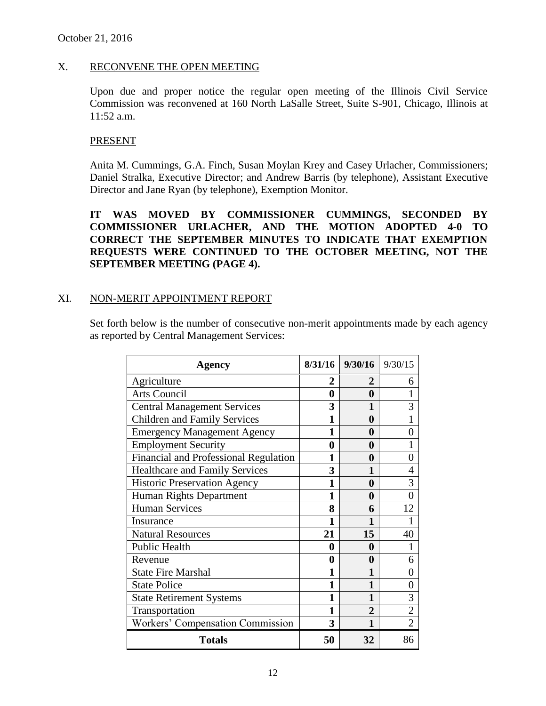#### X. RECONVENE THE OPEN MEETING

Upon due and proper notice the regular open meeting of the Illinois Civil Service Commission was reconvened at 160 North LaSalle Street, Suite S-901, Chicago, Illinois at 11:52 a.m.

#### PRESENT

Anita M. Cummings, G.A. Finch, Susan Moylan Krey and Casey Urlacher, Commissioners; Daniel Stralka, Executive Director; and Andrew Barris (by telephone), Assistant Executive Director and Jane Ryan (by telephone), Exemption Monitor.

**IT WAS MOVED BY COMMISSIONER CUMMINGS, SECONDED BY COMMISSIONER URLACHER, AND THE MOTION ADOPTED 4-0 TO CORRECT THE SEPTEMBER MINUTES TO INDICATE THAT EXEMPTION REQUESTS WERE CONTINUED TO THE OCTOBER MEETING, NOT THE SEPTEMBER MEETING (PAGE 4).**

#### XI. NON-MERIT APPOINTMENT REPORT

Set forth below is the number of consecutive non-merit appointments made by each agency as reported by Central Management Services:

| Agency                                | 8/31/16 | 9/30/16        | 9/30/15        |
|---------------------------------------|---------|----------------|----------------|
| Agriculture                           | 2       | 2              | 6              |
| <b>Arts Council</b>                   | 0       | 0              |                |
| <b>Central Management Services</b>    | 3       | 1              | 3              |
| <b>Children and Family Services</b>   | 1       | 0              |                |
| <b>Emergency Management Agency</b>    | 1       | 0              | 0              |
| <b>Employment Security</b>            | 0       | 0              |                |
| Financial and Professional Regulation | 1       | 0              | 0              |
| <b>Healthcare and Family Services</b> | 3       | 1              | 4              |
| <b>Historic Preservation Agency</b>   | 1       | 0              | 3              |
| Human Rights Department               | 1       | 0              | 0              |
| <b>Human Services</b>                 | 8       | 6              | 12             |
| Insurance                             | 1       |                |                |
| <b>Natural Resources</b>              | 21      | 15             | 40             |
| <b>Public Health</b>                  | 0       | 0              |                |
| Revenue                               | 0       | 0              | 6              |
| <b>State Fire Marshal</b>             | 1       | 1              | 0              |
| <b>State Police</b>                   | 1       | 1              | 0              |
| <b>State Retirement Systems</b>       | 1       | 1              | 3              |
| Transportation                        | 1       | $\overline{2}$ | $\overline{2}$ |
| Workers' Compensation Commission      | 3       | 1              | $\overline{2}$ |
| <b>Totals</b>                         | 50      | 32             | 86             |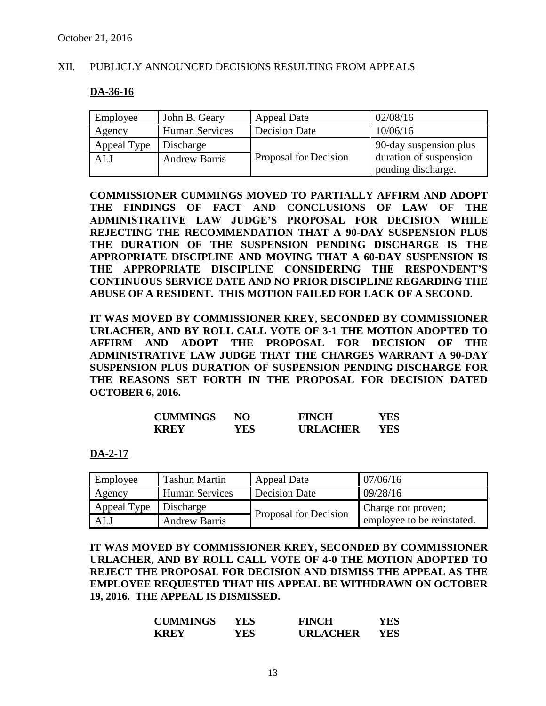#### XII. PUBLICLY ANNOUNCED DECISIONS RESULTING FROM APPEALS

#### **DA-36-16**

| Employee    | John B. Geary         | <b>Appeal Date</b>           | 02/08/16               |
|-------------|-----------------------|------------------------------|------------------------|
| Agency      | <b>Human Services</b> | <b>Decision Date</b>         | 10/06/16               |
| Appeal Type | Discharge             |                              | 90-day suspension plus |
| ALJ         | <b>Andrew Barris</b>  | <b>Proposal for Decision</b> | duration of suspension |
|             |                       |                              | pending discharge.     |

**COMMISSIONER CUMMINGS MOVED TO PARTIALLY AFFIRM AND ADOPT THE FINDINGS OF FACT AND CONCLUSIONS OF LAW OF THE ADMINISTRATIVE LAW JUDGE'S PROPOSAL FOR DECISION WHILE REJECTING THE RECOMMENDATION THAT A 90-DAY SUSPENSION PLUS THE DURATION OF THE SUSPENSION PENDING DISCHARGE IS THE APPROPRIATE DISCIPLINE AND MOVING THAT A 60-DAY SUSPENSION IS THE APPROPRIATE DISCIPLINE CONSIDERING THE RESPONDENT'S CONTINUOUS SERVICE DATE AND NO PRIOR DISCIPLINE REGARDING THE ABUSE OF A RESIDENT. THIS MOTION FAILED FOR LACK OF A SECOND.**

**IT WAS MOVED BY COMMISSIONER KREY, SECONDED BY COMMISSIONER URLACHER, AND BY ROLL CALL VOTE OF 3-1 THE MOTION ADOPTED TO AFFIRM AND ADOPT THE PROPOSAL FOR DECISION OF THE ADMINISTRATIVE LAW JUDGE THAT THE CHARGES WARRANT A 90-DAY SUSPENSION PLUS DURATION OF SUSPENSION PENDING DISCHARGE FOR THE REASONS SET FORTH IN THE PROPOSAL FOR DECISION DATED OCTOBER 6, 2016.**

| <b>CUMMINGS</b> | NΟ  | <b>FINCH</b>    | YES |
|-----------------|-----|-----------------|-----|
| <b>KREY</b>     | YES | <b>URLACHER</b> | YES |

**DA-2-17**

| Employee    | <b>Tashun Martin</b>  | <b>Appeal Date</b>    | 07/06/16                   |
|-------------|-----------------------|-----------------------|----------------------------|
| Agency      | <b>Human Services</b> | Decision Date         | 09/28/16                   |
| Appeal Type | Discharge             | Proposal for Decision | Charge not proven;         |
| ALJ         | <b>Andrew Barris</b>  |                       | employee to be reinstated. |

**IT WAS MOVED BY COMMISSIONER KREY, SECONDED BY COMMISSIONER URLACHER, AND BY ROLL CALL VOTE OF 4-0 THE MOTION ADOPTED TO REJECT THE PROPOSAL FOR DECISION AND DISMISS THE APPEAL AS THE EMPLOYEE REQUESTED THAT HIS APPEAL BE WITHDRAWN ON OCTOBER 19, 2016. THE APPEAL IS DISMISSED.**

| <b>CUMMINGS</b> | YES. | <b>FINCH</b>    | YES |
|-----------------|------|-----------------|-----|
| <b>KREY</b>     | YES  | <b>URLACHER</b> | YES |